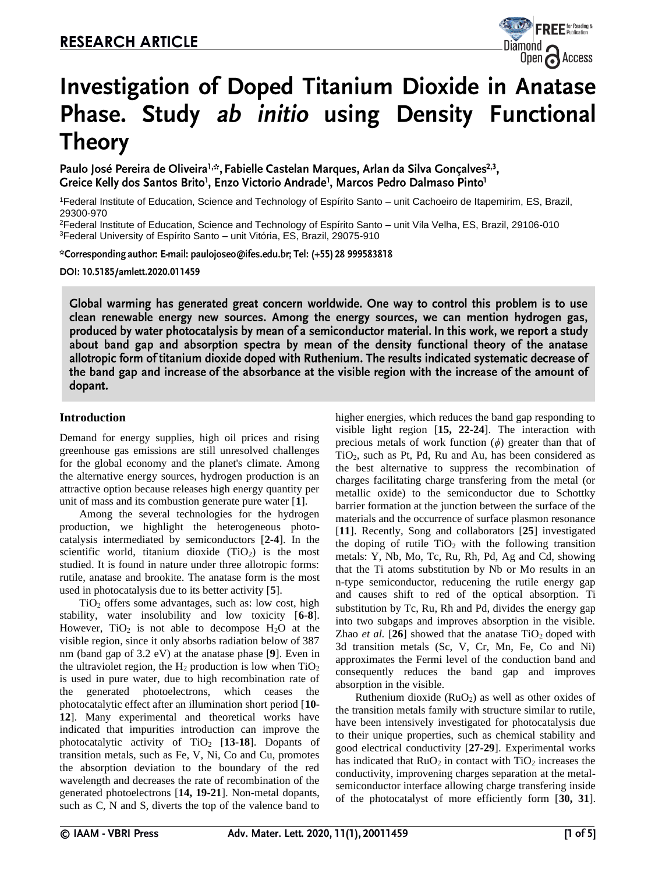

# **Investigation of Doped Titanium Dioxide in Anatase** Phase. Study ab initio using Density Functional **Theory**

Paulo José Pereira de Oliveira<sup>1,\*</sup>, Fabielle Castelan Marques, Arlan da Silva Gonçalves<sup>2,3</sup>, Greice Kelly dos Santos Brito<sup>1</sup>, Enzo Victorio Andrade<sup>1</sup>, Marcos Pedro Dalmaso Pinto<sup>1</sup>

<sup>1</sup>Federal Institute of Education, Science and Technology of Espírito Santo – unit Cachoeiro de Itapemirim, ES, Brazil, 29300-970

<sup>2</sup>Federal Institute of Education, Science and Technology of Espírito Santo – unit Vila Velha, ES, Brazil, 29106-010 <sup>3</sup>Federal University of Espírito Santo – unit Vitória, ES, Brazil, 29075-910

\*Corresponding author: E-mail: paulojoseo@ifes.edu.br; Tel: (+55) 28 999583818

DOI: 10.5185/amlett.2020.011459

Global warming has generated great concern worldwide. One way to control this problem is to use clean renewable energy new sources. Among the energy sources, we can mention hydrogen gas, produced by water photocatalysis by mean of a semiconductor material. In this work, we report a study about band gap and absorption spectra by mean of the density functional theory of the anatase allotropic form of titanium dioxide doped with Ruthenium. The results indicated systematic decrease of the band gap and increase of the absorbance at the visible region with the increase of the amount of dopant.

# **Introduction**

Demand for energy supplies, high oil prices and rising greenhouse gas emissions are still unresolved challenges for the global economy and the planet's climate. Among the alternative energy sources, hydrogen production is an attractive option because releases high energy quantity per unit of mass and its combustion generate pure water [**1**].

Among the several technologies for the hydrogen production, we highlight the heterogeneous photocatalysis intermediated by semiconductors [**2-4**]. In the scientific world, titanium dioxide  $(TiO<sub>2</sub>)$  is the most studied. It is found in nature under three allotropic forms: rutile, anatase and brookite. The anatase form is the most used in photocatalysis due to its better activity [**5**].

 $TiO<sub>2</sub>$  offers some advantages, such as: low cost, high stability, water insolubility and low toxicity [**6-8**]. However,  $TiO<sub>2</sub>$  is not able to decompose  $H<sub>2</sub>O$  at the visible region, since it only absorbs radiation below of 387 nm (band gap of 3.2 eV) at the anatase phase [**9**]. Even in the ultraviolet region, the  $H_2$  production is low when  $TiO<sub>2</sub>$ is used in pure water, due to high recombination rate of the generated photoelectrons, which ceases the photocatalytic effect after an illumination short period [**10- 12**]. Many experimental and theoretical works have indicated that impurities introduction can improve the photocatalytic activity of  $TiO<sub>2</sub>$  [13-18]. Dopants of transition metals, such as Fe, V, Ni, Co and Cu, promotes the absorption deviation to the boundary of the red wavelength and decreases the rate of recombination of the generated photoelectrons [**14, 19-21**]. Non-metal dopants, such as C, N and S, diverts the top of the valence band to higher energies, which reduces the band gap responding to visible light region [**15, 22-24**]. The interaction with precious metals of work function (*ϕ*) greater than that of TiO2, such as Pt, Pd, Ru and Au, has been considered as the best alternative to suppress the recombination of charges facilitating charge transfering from the metal (or metallic oxide) to the semiconductor due to Schottky barrier formation at the junction between the surface of the materials and the occurrence of surface plasmon resonance [**11**]. Recently, Song and collaborators [**25**] investigated the doping of rutile  $TiO<sub>2</sub>$  with the following transition metals: Y, Nb, Mo, Tc, Ru, Rh, Pd, Ag and Cd, showing that the Ti atoms substitution by Nb or Mo results in an n-type semiconductor, reducening the rutile energy gap and causes shift to red of the optical absorption. Ti substitution by Tc, Ru, Rh and Pd, divides the energy gap into two subgaps and improves absorption in the visible. Zhao *et al.* [26] showed that the anatase  $TiO<sub>2</sub>$  doped with 3d transition metals (Sc, V, Cr, Mn, Fe, Co and Ni) approximates the Fermi level of the conduction band and consequently reduces the band gap and improves absorption in the visible.

Ruthenium dioxide  $(RuO<sub>2</sub>)$  as well as other oxides of the transition metals family with structure similar to rutile, have been intensively investigated for photocatalysis due to their unique properties, such as chemical stability and good electrical conductivity [**27-29**]. Experimental works has indicated that  $RuO<sub>2</sub>$  in contact with  $TiO<sub>2</sub>$  increases the conductivity, improvening charges separation at the metalsemiconductor interface allowing charge transfering inside of the photocatalyst of more efficiently form [**30, 31**].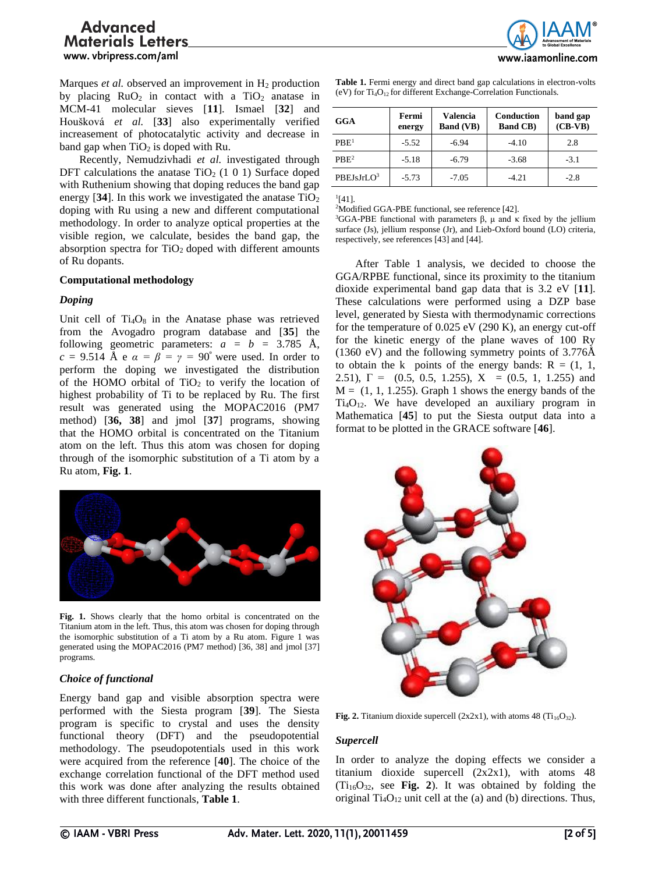Marques *et al.* observed an improvement in H<sub>2</sub> production by placing  $RuO<sub>2</sub>$  in contact with a TiO<sub>2</sub> anatase in MCM-41 molecular sieves [**11**]. Ismael [**32**] and Houšková *et al.* [**33**] also experimentally verified increasement of photocatalytic activity and decrease in band gap when  $TiO<sub>2</sub>$  is doped with Ru.

Recently, Nemudzivhadi *et al.* investigated through DFT calculations the anatase  $TiO<sub>2</sub>$  (1 0 1) Surface doped with Ruthenium showing that doping reduces the band gap energy  $[34]$ . In this work we investigated the anatase  $TiO<sub>2</sub>$ doping with Ru using a new and different computational methodology. In order to analyze optical properties at the visible region, we calculate, besides the band gap, the absorption spectra for  $TiO<sub>2</sub>$  doped with different amounts of Ru dopants.

## **Computational methodology**

## *Doping*

Unit cell of  $Ti<sub>4</sub>O<sub>8</sub>$  in the Anatase phase was retrieved from the Avogadro program database and [**35**] the following geometric parameters: *a = b =* 3.785 Å, *c* = 9.514 Å e  $\alpha = \beta = \gamma = 90^{\circ}$  were used. In order to perform the doping we investigated the distribution of the HOMO orbital of  $TiO<sub>2</sub>$  to verify the location of highest probability of Ti to be replaced by Ru. The first result was generated using the MOPAC2016 (PM7 method) [**36, 38**] and jmol [**37**] programs, showing that the HOMO orbital is concentrated on the Titanium atom on the left. Thus this atom was chosen for doping through of the isomorphic substitution of a Ti atom by a Ru atom, **Fig. 1**.



**Fig. 1.** Shows clearly that the homo orbital is concentrated on the Titanium atom in the left. Thus, this atom was chosen for doping through the isomorphic substitution of a Ti atom by a Ru atom. Figure 1 was generated using the MOPAC2016 (PM7 method) [36, 38] and jmol [37] programs.

# *Choice of functional*

Energy band gap and visible absorption spectra were performed with the Siesta program [**39**]. The Siesta program is specific to crystal and uses the density functional theory (DFT) and the pseudopotential methodology. The pseudopotentials used in this work were acquired from the reference [**40**]. The choice of the exchange correlation functional of the DFT method used this work was done after analyzing the results obtained with three different functionals, **Table 1**.



Table 1. Fermi energy and direct band gap calculations in electron-volts (eV) for Ti<sub>4</sub>O<sub>12</sub> for different Exchange-Correlation Functionals.

| <b>GGA</b>             | Fermi<br>energy | <b>Valencia</b><br><b>Band (VB)</b> | <b>Conduction</b><br><b>Band CB)</b> | band gap<br>$(CB-VB)$ |
|------------------------|-----------------|-------------------------------------|--------------------------------------|-----------------------|
| PBE <sup>1</sup>       | $-5.52$         | $-6.94$                             | $-4.10$                              | 2.8                   |
| PRE <sup>2</sup>       | $-5.18$         | $-6.79$                             | $-3.68$                              | $-3.1$                |
| PBEJsJrLO <sup>3</sup> | $-5.73$         | $-7.05$                             | $-4.21$                              | $-2.8$                |

 $^{1}[41]$ .

<sup>2</sup>Modified GGA-PBE functional, see reference [42].

<sup>3</sup>GGA-PBE functional with parameters  $β$ ,  $μ$  and  $κ$  fixed by the jellium surface (Js), jellium response (Jr), and Lieb-Oxford bound (LO) criteria, respectively, see references [43] and [44].

After Table 1 analysis, we decided to choose the GGA/RPBE functional, since its proximity to the titanium dioxide experimental band gap data that is 3.2 eV [**11**]. These calculations were performed using a DZP base level, generated by Siesta with thermodynamic corrections for the temperature of 0.025 eV (290 K), an energy cut-off for the kinetic energy of the plane waves of 100 Ry (1360 eV) and the following symmetry points of 3.776Å to obtain the k points of the energy bands:  $R = (1, 1, 1)$ 2.51),  $\Gamma = (0.5, 0.5, 1.255), X = (0.5, 1, 1.255)$  and  $M = (1, 1, 1.255)$ . Graph 1 shows the energy bands of the  $Ti<sub>4</sub>O<sub>12</sub>$ . We have developed an auxiliary program in Mathematica [**45**] to put the Siesta output data into a format to be plotted in the GRACE software [**46**].



**Fig. 2.** Titanium dioxide supercell  $(2x2x1)$ , with atoms 48  $(Ti<sub>16</sub>O<sub>32</sub>)$ .

# *Supercell*

In order to analyze the doping effects we consider a titanium dioxide supercell (2x2x1), with atoms 48  $(Ti_{16}O_{32}$ , see **Fig. 2**). It was obtained by folding the original  $Ti<sub>4</sub>O<sub>12</sub>$  unit cell at the (a) and (b) directions. Thus,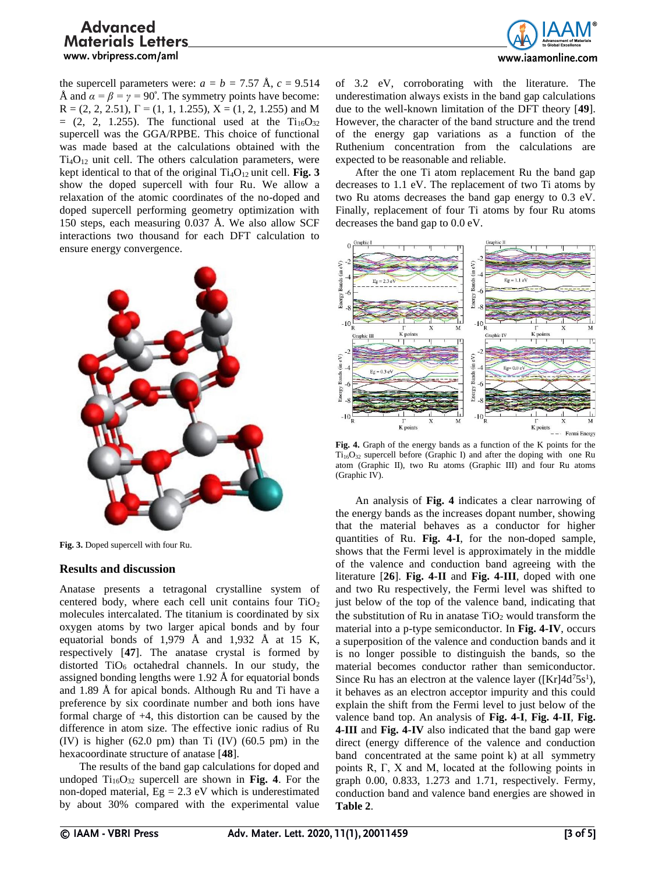

the supercell parameters were:  $a = b = 7.57 \text{ Å}, c = 9.514$ Å and  $\alpha = \beta = \gamma = 90^{\circ}$ . The symmetry points have become:  $R = (2, 2, 2.51), \Gamma = (1, 1, 1.255), X = (1, 2, 1.255)$  and M  $=(2, 2, 1.255)$ . The functional used at the Ti<sub>16</sub>O<sub>32</sub> supercell was the GGA/RPBE. This choice of functional was made based at the calculations obtained with the  $Ti<sub>4</sub>O<sub>12</sub>$  unit cell. The others calculation parameters, were kept identical to that of the original  $Ti<sub>4</sub>O<sub>12</sub>$  unit cell. **Fig. 3** show the doped supercell with four Ru. We allow a relaxation of the atomic coordinates of the no-doped and doped supercell performing geometry optimization with 150 steps, each measuring 0.037 Å. We also allow SCF interactions two thousand for each DFT calculation to ensure energy convergence.



**Fig. 3.** Doped supercell with four Ru.

## **Results and discussion**

Anatase presents a tetragonal crystalline system of centered body, where each cell unit contains four  $TiO<sub>2</sub>$ molecules intercalated. The titanium is coordinated by six oxygen atoms by two larger apical bonds and by four equatorial bonds of 1,979 Å and 1,932 Å at 15 K, respectively [**47**]. The anatase crystal is formed by distorted TiO<sub>6</sub> octahedral channels. In our study, the assigned bonding lengths were 1.92 Å for equatorial bonds and 1.89 Å for apical bonds. Although Ru and Ti have a preference by six coordinate number and both ions have formal charge of +4, this distortion can be caused by the difference in atom size. The effective ionic radius of Ru  $(IV)$  is higher  $(62.0 \text{ pm})$  than Ti  $(IV)$   $(60.5 \text{ pm})$  in the hexacoordinate structure of anatase [**48**].

The results of the band gap calculations for doped and undoped  $Ti_{16}O_{32}$  supercell are shown in **Fig. 4**. For the non-doped material,  $Eg = 2.3$  eV which is underestimated by about 30% compared with the experimental value of 3.2 eV, corroborating with the literature. The underestimation always exists in the band gap calculations due to the well-known limitation of the DFT theory [**49**]. However, the character of the band structure and the trend of the energy gap variations as a function of the Ruthenium concentration from the calculations are expected to be reasonable and reliable.

After the one Ti atom replacement Ru the band gap decreases to 1.1 eV. The replacement of two Ti atoms by two Ru atoms decreases the band gap energy to 0.3 eV. Finally, replacement of four Ti atoms by four Ru atoms decreases the band gap to 0.0 eV.



**Fig. 4.** Graph of the energy bands as a function of the K points for the Ti<sub>16</sub>O<sub>32</sub> supercell before (Graphic I) and after the doping with one Ru atom (Graphic II), two Ru atoms (Graphic III) and four Ru atoms (Graphic IV).

An analysis of **Fig. 4** indicates a clear narrowing of the energy bands as the increases dopant number, showing that the material behaves as a conductor for higher quantities of Ru. **Fig. 4-I**, for the non-doped sample, shows that the Fermi level is approximately in the middle of the valence and conduction band agreeing with the literature [**26**]. **Fig. 4-II** and **Fig. 4-III**, doped with one and two Ru respectively, the Fermi level was shifted to just below of the top of the valence band, indicating that the substitution of Ru in anatase  $TiO<sub>2</sub>$  would transform the material into a p-type semiconductor. In **Fig. 4-IV**, occurs a superposition of the valence and conduction bands and it is no longer possible to distinguish the bands, so the material becomes conductor rather than semiconductor. Since Ru has an electron at the valence layer ( $[Kr]4d^{7}5s^{1}$ ), it behaves as an electron acceptor impurity and this could explain the shift from the Fermi level to just below of the valence band top. An analysis of **Fig. 4-I**, **Fig. 4-II**, **Fig. 4-III** and **Fig. 4-IV** also indicated that the band gap were direct (energy difference of the valence and conduction band concentrated at the same point k) at all symmetry points R, Г, X and M, located at the following points in graph 0.00, 0.833, 1.273 and 1.71, respectively. Fermy, conduction band and valence band energies are showed in **Table 2**.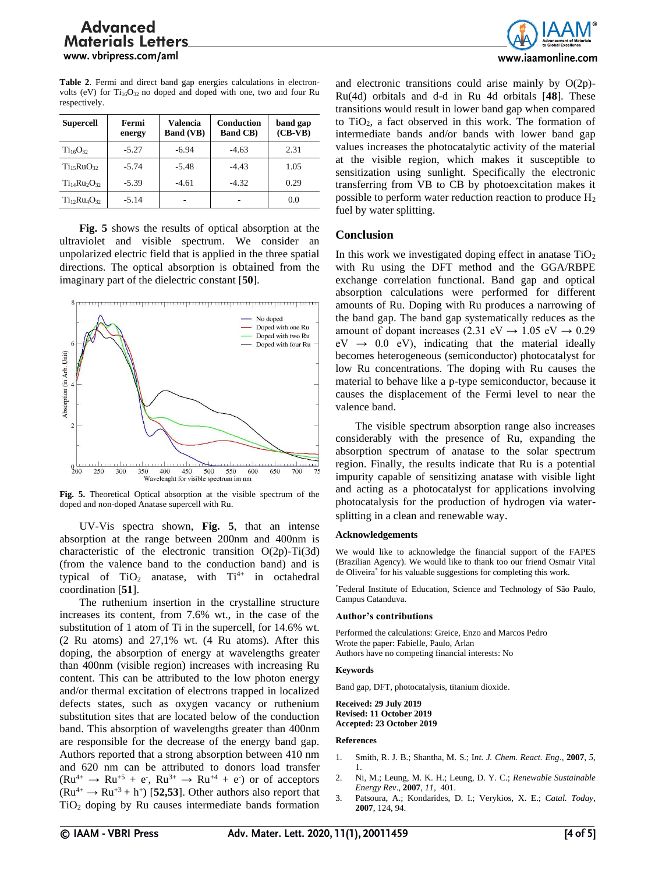**Table 2**. Fermi and direct band gap energies calculations in electronvolts (eV) for  $Ti_{16}O_{32}$  no doped and doped with one, two and four Ru respectively.

| <b>Supercell</b>                   | Fermi<br>energy | <b>Valencia</b><br><b>Band (VB)</b> | <b>Conduction</b><br><b>Band CB)</b> | band gap<br>$(CB-VB)$ |
|------------------------------------|-----------------|-------------------------------------|--------------------------------------|-----------------------|
| $Ti_{16}O_{32}$                    | $-5.27$         | $-6.94$                             | $-4.63$                              | 2.31                  |
| Ti <sub>15</sub> RuO <sub>32</sub> | $-5.74$         | $-5.48$                             | $-4.43$                              | 1.05                  |
| $Ti_{14}Ru_{2}O_{32}$              | $-5.39$         | $-4.61$                             | $-4.32$                              | 0.29                  |
| $Ti_{12}Ru_4O_{32}$                | $-5.14$         |                                     |                                      | 0.0                   |

**Fig. 5** shows the results of optical absorption at the ultraviolet and visible spectrum. We consider an unpolarized electric field that is applied in the three spatial directions. The optical absorption is obtained from the imaginary part of the dielectric constant [**50**].



**Fig. 5.** Theoretical Optical absorption at the visible spectrum of the doped and non-doped Anatase supercell with Ru.

UV-Vis spectra shown, **Fig. 5**, that an intense absorption at the range between 200nm and 400nm is characteristic of the electronic transition O(2p)-Ti(3d) (from the valence band to the conduction band) and is typical of  $TiO<sub>2</sub>$  anatase, with  $Ti<sup>4+</sup>$  in octahedral coordination [**51**].

The ruthenium insertion in the crystalline structure increases its content, from 7.6% wt., in the case of the substitution of 1 atom of Ti in the supercell, for 14.6% wt. (2 Ru atoms) and 27,1% wt. (4 Ru atoms). After this doping, the absorption of energy at wavelengths greater than 400nm (visible region) increases with increasing Ru content. This can be attributed to the low photon energy and/or thermal excitation of electrons trapped in localized defects states, such as oxygen vacancy or ruthenium substitution sites that are located below of the conduction band. This absorption of wavelengths greater than 400nm are responsible for the decrease of the energy band gap. Authors reported that a strong absorption between 410 nm and 620 nm can be attributed to donors load transfer  $(Ru^{4+} \rightarrow Ru^{+5} + e^-, Ru^{3+} \rightarrow Ru^{+4} + e^+)$  or of acceptors  $(Ru^{4+} \rightarrow Ru^{+3} + h^+)$  [52,53]. Other authors also report that  $TiO<sub>2</sub>$  doping by Ru causes intermediate bands formation



and electronic transitions could arise mainly by O(2p)- Ru(4d) orbitals and d-d in Ru 4d orbitals [**48**]. These transitions would result in lower band gap when compared to TiO2, a fact observed in this work. The formation of intermediate bands and/or bands with lower band gap values increases the photocatalytic activity of the material at the visible region, which makes it susceptible to sensitization using sunlight. Specifically the electronic transferring from VB to CB by photoexcitation makes it possible to perform water reduction reaction to produce H<sup>2</sup> fuel by water splitting.

## **Conclusion**

In this work we investigated doping effect in anatase  $TiO<sub>2</sub>$ with Ru using the DFT method and the GGA/RBPE exchange correlation functional. Band gap and optical absorption calculations were performed for different amounts of Ru. Doping with Ru produces a narrowing of the band gap. The band gap systematically reduces as the amount of dopant increases (2.31 eV  $\rightarrow$  1.05 eV  $\rightarrow$  0.29  $eV \rightarrow 0.0 \text{ eV}$ , indicating that the material ideally becomes heterogeneous (semiconductor) photocatalyst for low Ru concentrations. The doping with Ru causes the material to behave like a p-type semiconductor, because it causes the displacement of the Fermi level to near the valence band.

The visible spectrum absorption range also increases considerably with the presence of Ru, expanding the absorption spectrum of anatase to the solar spectrum region. Finally, the results indicate that Ru is a potential impurity capable of sensitizing anatase with visible light and acting as a photocatalyst for applications involving photocatalysis for the production of hydrogen via watersplitting in a clean and renewable way.

### **Acknowledgements**

We would like to acknowledge the financial support of the FAPES (Brazilian Agency). We would like to thank too our friend Osmair Vital de Oliveira\* for his valuable suggestions for completing this work.

\*Federal Institute of Education, Science and Technology of São Paulo, Campus Catanduva.

### **Author's contributions**

Performed the calculations: Greice, Enzo and Marcos Pedro Wrote the paper: Fabielle, Paulo, Arlan Authors have no competing financial interests: No

### **Keywords**

Band gap, DFT, photocatalysis, titanium dioxide.

**Received: 29 July 2019 Revised: 11 October 2019 Accepted: 23 October 2019** 

### **References**

- 1. Smith, R. J. B.; Shantha, M. S.; I*nt. J. Chem. React. Eng*., **2007**, *5,* 1.
- 2. Ni, M.; Leung, M. K. H.; Leung, D. Y. C.; *Renewable Sustainable Energy Rev*., **2007**, *11,* 401.
- 3. Patsoura, A.; Kondarides, D. I.; Verykios, X. E.; *Catal. Today*, **2007**, 124, 94.